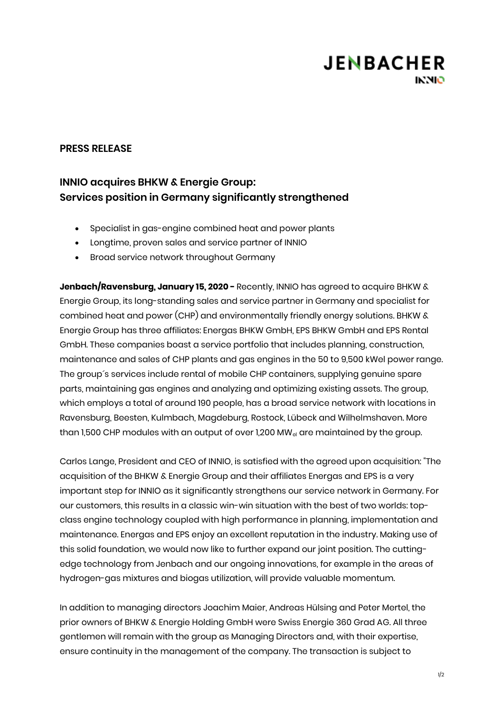# **JENBACHER INNIO**

### **PRESS RELEASE**

### **INNIO acquires BHKW & Energie Group: Services position in Germany significantly strengthened**

- Specialist in gas-engine combined heat and power plants
- Longtime, proven sales and service partner of INNIO
- Broad service network throughout Germany

**Jenbach/Ravensburg, January 15, 2020 -** Recently, INNIO has agreed to acquire BHKW & Energie Group, its long-standing sales and service partner in Germany and specialist for combined heat and power (CHP) and environmentally friendly energy solutions. BHKW & Energie Group has three affiliates: Energas BHKW GmbH, EPS BHKW GmbH and EPS Rental GmbH. These companies boast a service portfolio that includes planning, construction, maintenance and sales of CHP plants and gas engines in the 50 to 9,500 kWel power range. The group´s services include rental of mobile CHP containers, supplying genuine spare parts, maintaining gas engines and analyzing and optimizing existing assets. The group, which employs a total of around 190 people, has a broad service network with locations in Ravensburg, Beesten, Kulmbach, Magdeburg, Rostock, Lübeck and Wilhelmshaven. More than 1,500 CHP modules with an output of over 1,200 MW<sub>el</sub> are maintained by the group.

Carlos Lange, President and CEO of INNIO, is satisfied with the agreed upon acquisition: "The acquisition of the BHKW & Energie Group and their affiliates Energas and EPS is a very important step for INNIO as it significantly strengthens our service network in Germany. For our customers, this results in a classic win-win situation with the best of two worlds: topclass engine technology coupled with high performance in planning, implementation and maintenance. Energas and EPS enjoy an excellent reputation in the industry. Making use of this solid foundation, we would now like to further expand our joint position. The cuttingedge technology from Jenbach and our ongoing innovations, for example in the areas of hydrogen-gas mixtures and biogas utilization, will provide valuable momentum.

In addition to managing directors Joachim Maier, Andreas Hülsing and Peter Mertel, the prior owners of BHKW & Energie Holding GmbH were Swiss Energie 360 Grad AG. All three gentlemen will remain with the group as Managing Directors and, with their expertise, ensure continuity in the management of the company. The transaction is subject to